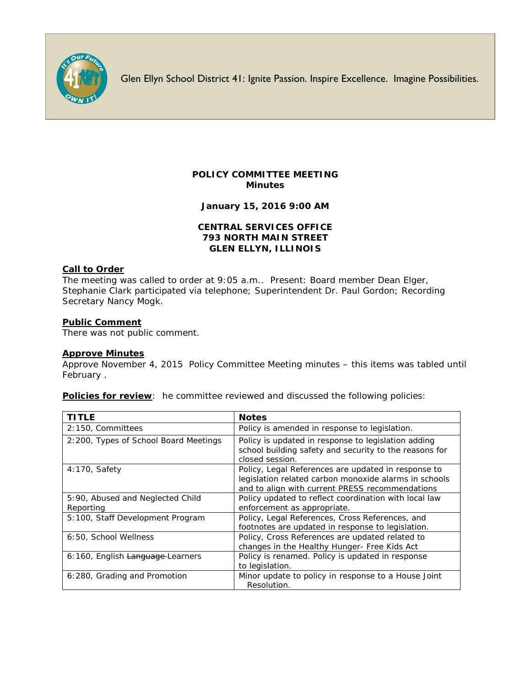

Glen Ellyn School District 41: Ignite Passion. Inspire Excellence. Imagine Possibilities.

# **POLICY COMMITTEE MEETING Minutes**

**January 15, 2016 9:00 AM**

## **CENTRAL SERVICES OFFICE 793 NORTH MAIN STREET GLEN ELLYN, ILLINOIS**

### **Call to Order**

The meeting was called to order at 9:05 a.m.. Present: Board member Dean Elger, Stephanie Clark participated via telephone; Superintendent Dr. Paul Gordon; Recording Secretary Nancy Mogk.

### **Public Comment**

There was not public comment.

#### **Approve Minutes**

Approve November 4, 2015 Policy Committee Meeting minutes – this items was tabled until February .

**Policies for review**: he committee reviewed and discussed the following policies:

| TITLE                                         | <b>Notes</b>                                                                                                                                                    |
|-----------------------------------------------|-----------------------------------------------------------------------------------------------------------------------------------------------------------------|
| 2:150, Committees                             | Policy is amended in response to legislation.                                                                                                                   |
| 2:200, Types of School Board Meetings         | Policy is updated in response to legislation adding<br>school building safety and security to the reasons for<br>closed session.                                |
| $4:170$ , Safety                              | Policy, Legal References are updated in response to<br>legislation related carbon monoxide alarms in schools<br>and to align with current PRESS recommendations |
| 5:90, Abused and Neglected Child<br>Reporting | Policy updated to reflect coordination with local law<br>enforcement as appropriate.                                                                            |
| 5:100, Staff Development Program              | Policy, Legal References, Cross References, and<br>footnotes are updated in response to legislation.                                                            |
| 6:50, School Wellness                         | Policy, Cross References are updated related to<br>changes in the Healthy Hunger- Free Kids Act                                                                 |
| 6:160, English Language-Learners              | Policy is renamed. Policy is updated in response<br>to legislation.                                                                                             |
| 6:280, Grading and Promotion                  | Minor update to policy in response to a House Joint<br>Resolution.                                                                                              |